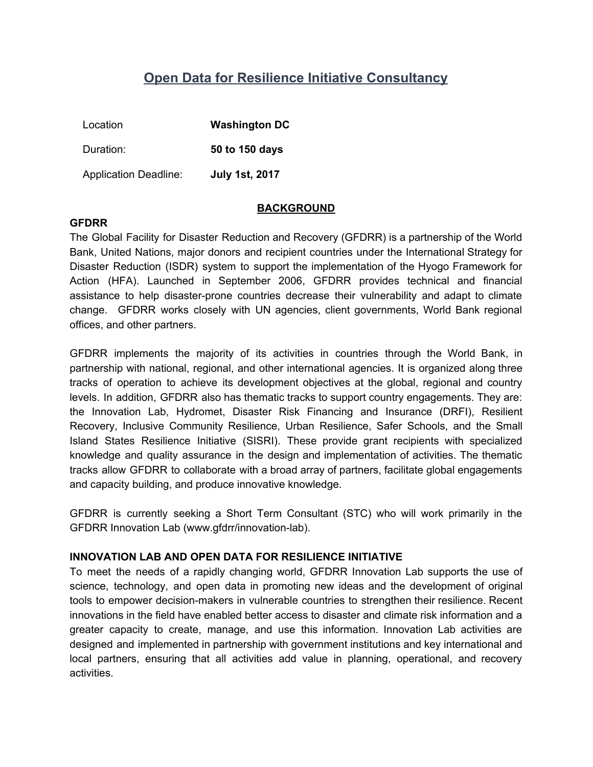# **Open Data for Resilience Initiative Consultancy**

| Location                     | <b>Washington DC</b>  |
|------------------------------|-----------------------|
| Duration:                    | 50 to 150 days        |
| <b>Application Deadline:</b> | <b>July 1st, 2017</b> |

#### **BACKGROUND**

#### **GFDRR**

The Global Facility for Disaster Reduction and Recovery (GFDRR) is a partnership of the World Bank, United Nations, major donors and recipient countries under the International Strategy for Disaster Reduction (ISDR) system to support the implementation of the Hyogo Framework for Action (HFA). Launched in September 2006, GFDRR provides technical and financial assistance to help disaster-prone countries decrease their vulnerability and adapt to climate change. GFDRR works closely with UN agencies, client governments, World Bank regional offices, and other partners.

GFDRR implements the majority of its activities in countries through the World Bank, in partnership with national, regional, and other international agencies. It is organized along three tracks of operation to achieve its development objectives at the global, regional and country levels. In addition, GFDRR also has thematic tracks to support country engagements. They are: the Innovation Lab, Hydromet, Disaster Risk Financing and Insurance (DRFI), Resilient Recovery, Inclusive Community Resilience, Urban Resilience, Safer Schools, and the Small Island States Resilience Initiative (SISRI). These provide grant recipients with specialized knowledge and quality assurance in the design and implementation of activities. The thematic tracks allow GFDRR to collaborate with a broad array of partners, facilitate global engagements and capacity building, and produce innovative knowledge.

GFDRR is currently seeking a Short Term Consultant (STC) who will work primarily in the GFDRR Innovation Lab (www.gfdrr/innovation-lab).

#### **INNOVATION LAB AND OPEN DATA FOR RESILIENCE INITIATIVE**

To meet the needs of a rapidly changing world, GFDRR Innovation Lab supports the use of science, technology, and open data in promoting new ideas and the development of original tools to empower decision-makers in vulnerable countries to strengthen their resilience. Recent innovations in the field have enabled better access to disaster and climate risk information and a greater capacity to create, manage, and use this information. Innovation Lab activities are designed and implemented in partnership with government institutions and key international and local partners, ensuring that all activities add value in planning, operational, and recovery activities.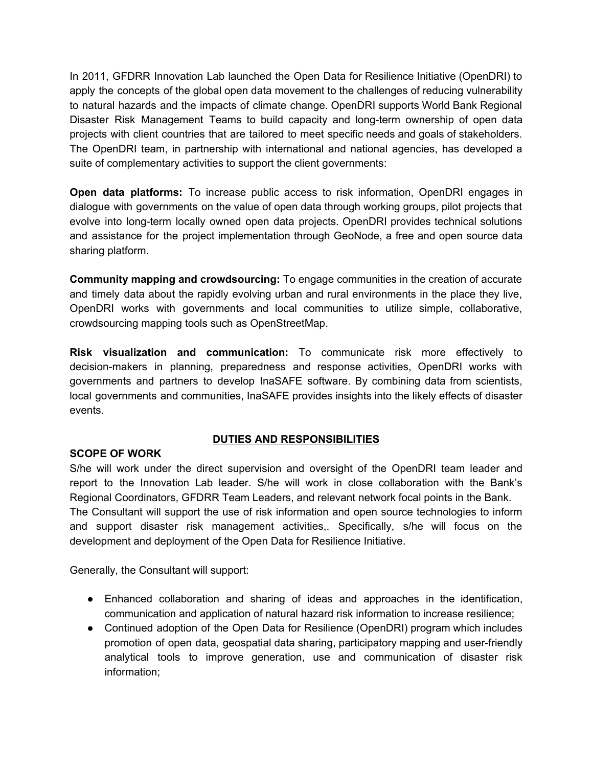In 2011, GFDRR Innovation Lab launched the Open Data for Resilience Initiative (OpenDRI) to apply the concepts of the global open data movement to the challenges of reducing vulnerability to natural hazards and the impacts of climate change. OpenDRI supports World Bank Regional Disaster Risk Management Teams to build capacity and long-term ownership of open data projects with client countries that are tailored to meet specific needs and goals of stakeholders. The OpenDRI team, in partnership with international and national agencies, has developed a suite of complementary activities to support the client governments:

**Open data platforms:** To increase public access to risk information, OpenDRI engages in dialogue with governments on the value of open data through working groups, pilot projects that evolve into long-term locally owned open data projects. OpenDRI provides technical solutions and assistance for the project implementation through GeoNode, a free and open source data sharing platform.

**Community mapping and crowdsourcing:** To engage communities in the creation of accurate and timely data about the rapidly evolving urban and rural environments in the place they live, OpenDRI works with governments and local communities to utilize simple, collaborative, crowdsourcing mapping tools such as OpenStreetMap.

**Risk visualization and communication:** To communicate risk more effectively to decision-makers in planning, preparedness and response activities, OpenDRI works with governments and partners to develop InaSAFE software. By combining data from scientists, local governments and communities, InaSAFE provides insights into the likely effects of disaster events.

### **DUTIES AND RESPONSIBILITIES**

### **SCOPE OF WORK**

S/he will work under the direct supervision and oversight of the OpenDRI team leader and report to the Innovation Lab leader. S/he will work in close collaboration with the Bank's Regional Coordinators, GFDRR Team Leaders, and relevant network focal points in the Bank. The Consultant will support the use of risk information and open source technologies to inform and support disaster risk management activities,. Specifically, s/he will focus on the development and deployment of the Open Data for Resilience Initiative.

Generally, the Consultant will support:

- Enhanced collaboration and sharing of ideas and approaches in the identification, communication and application of natural hazard risk information to increase resilience;
- Continued adoption of the Open Data for Resilience (OpenDRI) program which includes promotion of open data, geospatial data sharing, participatory mapping and user-friendly analytical tools to improve generation, use and communication of disaster risk information;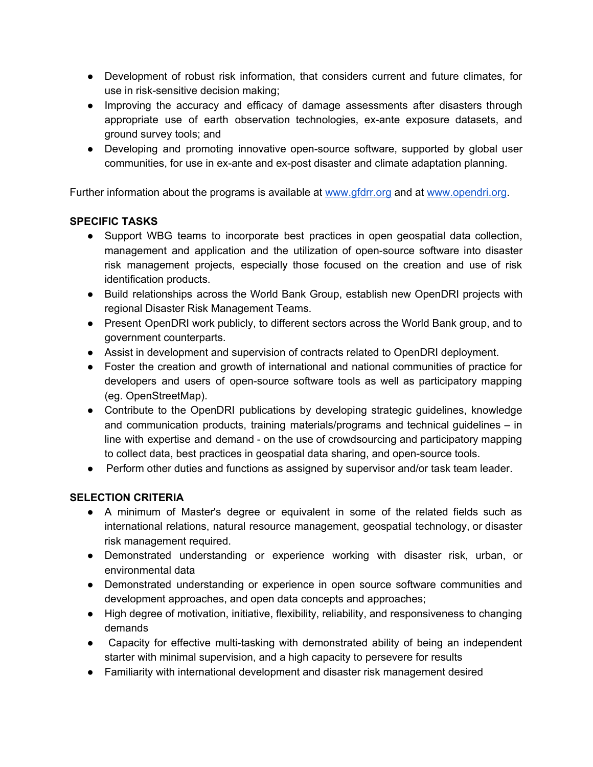- Development of robust risk information, that considers current and future climates, for use in risk-sensitive decision making;
- Improving the accuracy and efficacy of damage assessments after disasters through appropriate use of earth observation technologies, ex-ante exposure datasets, and ground survey tools; and
- Developing and promoting innovative open-source software, supported by global user communities, for use in ex-ante and ex-post disaster and climate adaptation planning.

Further information about the programs is available a[t](http://www.gfdrr.org/) [www.gfdrr.org](http://www.gfdrr.org/) and at [www.opendri.org.](http://www.opendri.org/)

### **SPECIFIC TASKS**

- Support WBG teams to incorporate best practices in open geospatial data collection, management and application and the utilization of open-source software into disaster risk management projects, especially those focused on the creation and use of risk identification products.
- Build relationships across the World Bank Group, establish new OpenDRI projects with regional Disaster Risk Management Teams.
- Present OpenDRI work publicly, to different sectors across the World Bank group, and to government counterparts.
- Assist in development and supervision of contracts related to OpenDRI deployment.
- Foster the creation and growth of international and national communities of practice for developers and users of open-source software tools as well as participatory mapping (eg. OpenStreetMap).
- Contribute to the OpenDRI publications by developing strategic guidelines, knowledge and communication products, training materials/programs and technical guidelines – in line with expertise and demand - on the use of crowdsourcing and participatory mapping to collect data, best practices in geospatial data sharing, and open-source tools.
- Perform other duties and functions as assigned by supervisor and/or task team leader.

## **SELECTION CRITERIA**

- A minimum of Master's degree or equivalent in some of the related fields such as international relations, natural resource management, geospatial technology, or disaster risk management required.
- Demonstrated understanding or experience working with disaster risk, urban, or environmental data
- Demonstrated understanding or experience in open source software communities and development approaches, and open data concepts and approaches;
- High degree of motivation, initiative, flexibility, reliability, and responsiveness to changing demands
- Capacity for effective multi-tasking with demonstrated ability of being an independent starter with minimal supervision, and a high capacity to persevere for results
- Familiarity with international development and disaster risk management desired